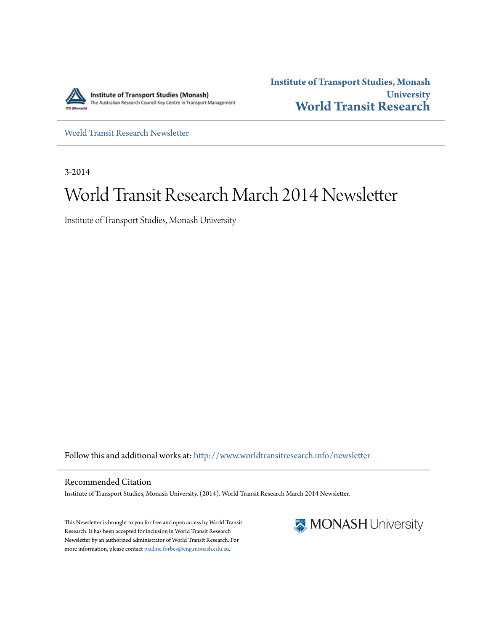

**Institute of Transport Studies, Monash University [World Transit Research](http://www.worldtransitresearch.info?utm_source=www.worldtransitresearch.info%2Fnewsletter%2F23&utm_medium=PDF&utm_campaign=PDFCoverPages)**

[World Transit Research Newsletter](http://www.worldtransitresearch.info/newsletter?utm_source=www.worldtransitresearch.info%2Fnewsletter%2F23&utm_medium=PDF&utm_campaign=PDFCoverPages)

3-2014

# World Transit Research March 2014 Newsletter

Institute of Transport Studies, Monash University

Follow this and additional works at: [http://www.worldtransitresearch.info/newsletter](http://www.worldtransitresearch.info/newsletter?utm_source=www.worldtransitresearch.info%2Fnewsletter%2F23&utm_medium=PDF&utm_campaign=PDFCoverPages)

Recommended Citation Institute of Transport Studies, Monash University. (2014). World Transit Research March 2014 Newsletter.

This Newsletter is brought to you for free and open access by World Transit Research. It has been accepted for inclusion in World Transit Research Newsletter by an authorized administrator of World Transit Research. For more information, please contact [pauline.forbes@eng.monash.edu.au](mailto:pauline.forbes@eng.monash.edu.au).

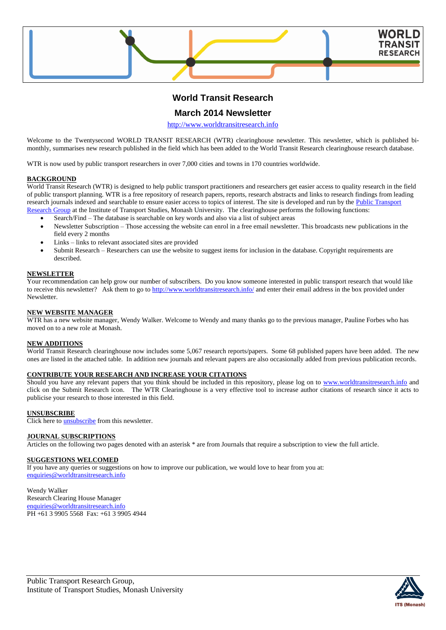

# **World Transit Research**

### **March 2014 Newsletter**

[http://www.worldtransitresearch.info](http://www.worldtransitresearch.info/)

Welcome to the Twentysecond WORLD TRANSIT RESEARCH (WTR) clearinghouse newsletter. This newsletter, which is published bimonthly, summarises new research published in the field which has been added to the World Transit Research clearinghouse research database.

WTR is now used by public transport researchers in over 7,000 cities and towns in 170 countries worldwide.

#### **BACKGROUND**

World Transit Research (WTR) is designed to help public transport practitioners and researchers get easier access to quality research in the field of public transport planning. WTR is a free repository of research papers, reports, research abstracts and links to research findings from leading research journals indexed and searchable to ensure easier access to topics of interest. The site is developed and run by the Public Transport [Research Group](http://eng.monash.edu.au/civil/research/centres/its/research-activities/public-transport-planning.html) at the Institute of Transport Studies, Monash University. The clearinghouse performs the following functions:

- Search/Find The database is searchable on key words and also via a list of subject areas
- Newsletter Subscription Those accessing the website can enrol in a free email newsletter. This broadcasts new publications in the field every 2 months
- Links links to relevant associated sites are provided
- Submit Research Researchers can use the website to suggest items for inclusion in the database. Copyright requirements are described.

#### **NEWSLETTER**

Your recommendation can help grow our number of subscribers. Do you know someone interested in public transport research that would like to receive this newsletter? Ask them to go to<http://www.worldtransitresearch.info/> and enter their email address in the box provided under **Newsletter** 

#### **NEW WEBSITE MANAGER**

WTR has a new website manager, Wendy Walker. Welcome to Wendy and many thanks go to the previous manager, Pauline Forbes who has moved on to a new role at Monash.

#### **NEW ADDITIONS**

World Transit Research clearinghouse now includes some 5,067 research reports/papers. Some 68 published papers have been added. The new ones are listed in the attached table. In addition new journals and relevant papers are also occasionally added from previous publication records.

#### **CONTRIBUTE YOUR RESEARCH AND INCREASE YOUR CITATIONS**

Should you have any relevant papers that you think should be included in this repository, please log on to [www.worldtransitresearch.info](http://www.worldtransitresearch.info/) and click on the Submit Research icon. The WTR Clearinghouse is a very effective tool to increase author citations of research since it acts to publicise your research to those interested in this field.

#### **UNSUBSCRIBE**

Click here to **unsubscribe** from this newsletter.

#### **JOURNAL SUBSCRIPTIONS**

Articles on the following two pages denoted with an asterisk \* are from Journals that require a subscription to view the full article.

#### **SUGGESTIONS WELCOMED**

If you have any queries or suggestions on how to improve our publication, we would love to hear from you at: [enquiries@worldtransitresearch.info](mailto:enquiries@worldtransitresearch.info)

Wendy Walker Research Clearing House Manager [enquiries@worldtransitresearch.info](mailto:enquiries@worldtransitresearch.info) PH +61 3 9905 5568 Fax: +61 3 9905 4944

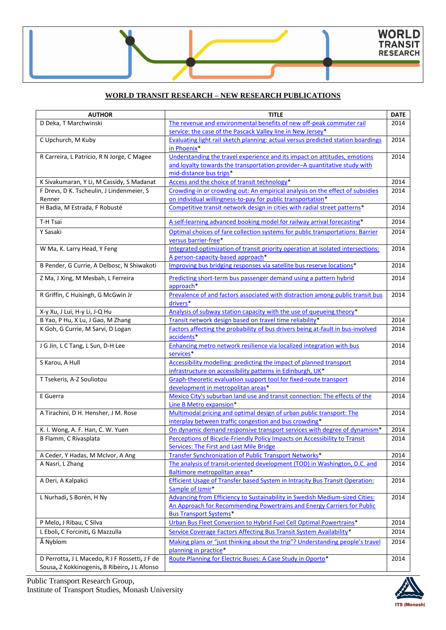## **WORLD TRANSIT RESEARCH – NEW RESEARCH PUBLICATIONS**

| <b>AUTHOR</b>                                  | <b>TITLE</b>                                                                                                | <b>DATE</b> |
|------------------------------------------------|-------------------------------------------------------------------------------------------------------------|-------------|
| D Deka, T Marchwinski                          | The revenue and environmental benefits of new off-peak commuter rail                                        | 2014        |
|                                                | service: the case of the Pascack Valley line in New Jersey*                                                 |             |
| C Upchurch, M Kuby                             | Evaluating light rail sketch planning: actual versus predicted station boardings                            | 2014        |
|                                                | in Phoenix*                                                                                                 |             |
| R Carreira, L Patrício, R N Jorge, C Magee     | Understanding the travel experience and its impact on attitudes, emotions                                   | 2014        |
|                                                | and loyalty towards the transportation provider-A quantitative study with                                   |             |
|                                                | mid-distance bus trips*                                                                                     |             |
| K Sivakumaran, Y Li, M Cassidy, S Madanat      | Access and the choice of transit technology*                                                                | 2014        |
| F Drevs, D K. Tscheulin, J Lindenmeier, S      | Crowding-in or crowding out: An empirical analysis on the effect of subsidies                               | 2014        |
| Renner                                         | on individual willingness-to-pay for public transportation*                                                 |             |
| H Badia, M Estrada, F Robusté                  | Competitive transit network design in cities with radial street patterns*                                   | 2014        |
| T-H Tsai                                       | A self-learning advanced booking model for railway arrival forecasting*                                     | 2014        |
| Y Sasaki                                       | Optimal choices of fare collection systems for public transportations: Barrier                              | 2014        |
|                                                | versus barrier-free*                                                                                        |             |
| W Ma, K. Larry Head, Y Feng                    | Integrated optimization of transit priority operation at isolated intersections:                            | 2014        |
|                                                | A person-capacity-based approach*                                                                           |             |
| B Pender, G Currie, A Delbosc, N Shiwakoti     | Improving bus bridging responses via satellite bus reserve locations*                                       | 2014        |
| Z Ma, J Xing, M Mesbah, L Ferreira             | Predicting short-term bus passenger demand using a pattern hybrid                                           | 2014        |
|                                                | approach*                                                                                                   |             |
| R Griffin, C Huisingh, G McGwin Jr             | Prevalence of and factors associated with distraction among public transit bus                              | 2014        |
|                                                | drivers*                                                                                                    |             |
| X-y Xu, J Lui, H-y Li, J-Q Hu                  | Analysis of subway station capacity with the use of queueing theory*                                        |             |
| B Yao, P Hu, X Lu, J Gao, M Zhang              | Transit network design based on travel time reliability*                                                    | 2014        |
| K Goh, G Currie, M Sarvi, D Logan              | Factors affecting the probability of bus drivers being at-fault in bus-involved                             | 2014        |
|                                                | accidents*                                                                                                  |             |
| J G Jin, L C Tang, L Sun, D-H Lee              | Enhancing metro network resilience via localized integration with bus                                       | 2014        |
|                                                | services*                                                                                                   |             |
| S Karou, A Hull                                | Accessibility modelling: predicting the impact of planned transport                                         | 2014        |
|                                                | infrastructure on accessibility patterns in Edinburgh, UK*                                                  |             |
| T Tsekeris, A-Z Souliotou                      | Graph-theoretic evaluation support tool for fixed-route transport                                           | 2014        |
|                                                | development in metropolitan areas*                                                                          |             |
| E Guerra                                       | Mexico City's suburban land use and transit connection: The effects of the                                  | 2014        |
|                                                | Line B Metro expansion*                                                                                     |             |
| A Tirachini, D H. Hensher, J M. Rose           | Multimodal pricing and optimal design of urban public transport: The                                        | 2014        |
|                                                | interplay between traffic congestion and bus crowding*                                                      |             |
| K. I. Wong, A. F. Han, C. W. Yuen              | On dynamic demand responsive transport services with degree of dynamism*                                    | 2014        |
| B Flamm, C Rivasplata                          | Perceptions of Bicycle-Friendly Policy Impacts on Accessibility to Transit                                  | 2014        |
|                                                | <b>Services: The First and Last Mile Bridge</b>                                                             |             |
| A Ceder, Y Hadas, M McIvor, A Ang              | Transfer Synchronization of Public Transport Networks*                                                      | 2014        |
| A Nasri, L Zhang                               | The analysis of transit-oriented development (TOD) in Washington, D.C. and<br>Baltimore metropolitan areas* | 2014        |
| A Deri, A Kalpakci                             | <b>Efficient Usage of Transfer based System in Intracity Bus Transit Operation:</b>                         | 2014        |
|                                                | Sample of Izmir*                                                                                            |             |
| L Nurhadi, S Borén, H Ny                       | <b>Advancing from Efficiency to Sustainability in Swedish Medium-sized Cities:</b>                          | 2014        |
|                                                | An Approach for Recommending Powertrains and Energy Carriers for Public                                     |             |
|                                                | <b>Bus Transport Systems*</b>                                                                               |             |
| P Melo, J Ribau, C Silva                       | Urban Bus Fleet Conversion to Hybrid Fuel Cell Optimal Powertrains*                                         | 2014        |
| L Eboli, C Forciniti, G Mazzulla               | Service Coverage Factors Affecting Bus Transit System Availability*                                         | 2014        |
| Å Nyblom                                       | Making plans or "just thinking about the trip"? Understanding people's travel                               | 2014        |
|                                                | planning in practice*                                                                                       |             |
| D Perrotta, J L Macedo, R J F Rossetti, J F de | Route Planning for Electric Buses: A Case Study in Oporto*                                                  | 2014        |
| Sousa, Z Kokkinogenis, B Ribeiro, J L Afonso   |                                                                                                             |             |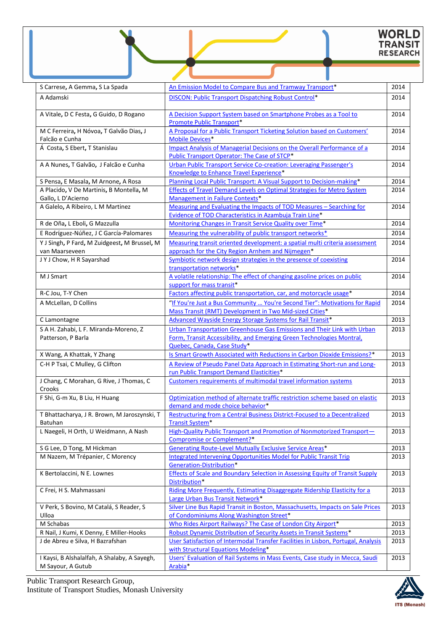# WORLD<br>TRANSIT<br>RESEARCH

| S Carrese, A Gemma, S La Spada                                 | An Emission Model to Compare Bus and Tramway Transport*                                                                                      | 2014         |
|----------------------------------------------------------------|----------------------------------------------------------------------------------------------------------------------------------------------|--------------|
| A Adamski                                                      | DISCON: Public Transport Dispatching Robust Control*                                                                                         | 2014         |
|                                                                |                                                                                                                                              |              |
| A Vitale, D C Festa, G Guido, D Rogano                         | A Decision Support System based on Smartphone Probes as a Tool to                                                                            | 2014         |
|                                                                | <b>Promote Public Transport*</b>                                                                                                             |              |
| M C Ferreira, H Nóvoa, T Galvão Dias, J                        | A Proposal for a Public Transport Ticketing Solution based on Customers'                                                                     | 2014         |
| Falcão e Cunha<br>Á Costa, S Ebert, T Stanislau                | <b>Mobile Devices*</b><br><b>Impact Analysis of Managerial Decisions on the Overall Performance of a</b>                                     | 2014         |
|                                                                | Public Transport Operator: The Case of STCP*                                                                                                 |              |
| A A Nunes, T Galvão, J Falcão e Cunha                          | Urban Public Transport Service Co-creation: Leveraging Passenger's                                                                           | 2014         |
|                                                                | Knowledge to Enhance Travel Experience*                                                                                                      |              |
| S Pensa, E Masala, M Arnone, A Rosa                            | Planning Local Public Transport: A Visual Support to Decision-making*                                                                        | 2014         |
| A Placido, V De Martinis, B Montella, M                        | Effects of Travel Demand Levels on Optimal Strategies for Metro System                                                                       | 2014         |
| Gallo, L D'Acierno                                             | Management in Failure Contexts*                                                                                                              |              |
| A Galelo, A Ribeiro, L M Martinez                              | Measuring and Evaluating the Impacts of TOD Measures - Searching for                                                                         | 2014         |
|                                                                | Evidence of TOD Characteristics in Azambuja Train Line*                                                                                      |              |
| R de Oña, L Eboli, G Mazzulla                                  | Monitoring Changes in Transit Service Quality over Time*<br>Measuring the vulnerability of public transport networks*                        | 2014         |
| E Rodríguez-Núñez, J C García-Palomares                        |                                                                                                                                              | 2014         |
| Y J Singh, P Fard, M Zuidgeest, M Brussel, M<br>van Maarseveen | Measuring transit oriented development: a spatial multi criteria assessment                                                                  | 2014         |
| JYJ Chow, H R Sayarshad                                        | approach for the City Region Arnhem and Nijmegen*<br>Symbiotic network design strategies in the presence of coexisting                       | 2014         |
|                                                                | transportation networks*                                                                                                                     |              |
| M J Smart                                                      | A volatile relationship: The effect of changing gasoline prices on public                                                                    | 2014         |
|                                                                | support for mass transit*                                                                                                                    |              |
| R-C Jou, T-Y Chen                                              | Factors affecting public transportation, car, and motorcycle usage*                                                                          | 2014         |
| A McLellan, D Collins                                          | "If You're Just a Bus Community  You're Second Tier": Motivations for Rapid                                                                  | 2014         |
|                                                                | Mass Transit (RMT) Development in Two Mid-sized Cities*                                                                                      |              |
| C Lamontagne                                                   | Advanced Wayside Energy Storage Systems for Rail Transit*                                                                                    | 2013         |
| S A H. Zahabi, L F. Miranda-Moreno, Z                          | Urban Transportation Greenhouse Gas Emissions and Their Link with Urban                                                                      | 2013         |
| Patterson, P Barla                                             | Form, Transit Accessibility, and Emerging Green Technologies Montral,                                                                        |              |
|                                                                | Quebec, Canada, Case Study*                                                                                                                  |              |
| X Wang, A Khattak, Y Zhang                                     | Is Smart Growth Associated with Reductions in Carbon Dioxide Emissions?*                                                                     | 2013         |
| C-H P Tsai, C Mulley, G Clifton                                | A Review of Pseudo Panel Data Approach in Estimating Short-run and Long-<br>run Public Transport Demand Elasticities*                        | 2013         |
| J Chang, C Morahan, G Rive, J Thomas, C                        | Customers requirements of multimodal travel information systems                                                                              | 2013         |
| Crooks                                                         |                                                                                                                                              |              |
| F Shi, G-m Xu, B Liu, H Huang                                  | Optimization method of alternate traffic restriction scheme based on elastic                                                                 | 2013         |
|                                                                | demand and mode choice behavior*                                                                                                             |              |
| T Bhattacharya, J R. Brown, M Jaroszynski, T                   | <b>Restructuring from a Central Business District-Focused to a Decentralized</b>                                                             | 2013         |
| Batuhan                                                        | <b>Transit System*</b>                                                                                                                       |              |
| L Naegeli, H Orth, U Weidmann, A Nash                          | High-Quality Public Transport and Promotion of Nonmotorized Transport-                                                                       | 2013         |
|                                                                | Compromise or Complement?*                                                                                                                   |              |
| S G Lee, D Tong, M Hickman<br>M Nazem, M Trépanier, C Morency  | <b>Generating Route-Level Mutually Exclusive Service Areas*</b><br><b>Integrated Intervening Opportunities Model for Public Transit Trip</b> | 2013<br>2013 |
|                                                                | Generation-Distribution*                                                                                                                     |              |
| K Bertolaccini, N E. Lownes                                    | Effects of Scale and Boundary Selection in Assessing Equity of Transit Supply                                                                | 2013         |
|                                                                | Distribution*                                                                                                                                |              |
| C Frei, H S. Mahmassani                                        | Riding More Frequently, Estimating Disaggregate Ridership Elasticity for a                                                                   | 2013         |
|                                                                | Large Urban Bus Transit Network*                                                                                                             |              |
| V Perk, S Bovino, M Catalá, S Reader, S                        | Silver Line Bus Rapid Transit in Boston, Massachusetts, Impacts on Sale Prices                                                               | 2013         |
| Ulloa                                                          | of Condominiums Along Washington Street*                                                                                                     |              |
| M Schabas                                                      | Who Rides Airport Railways? The Case of London City Airport*                                                                                 | 2013         |
| R Nail, J Kumi, K Denny, E Miller-Hooks                        | Robust Dynamic Distribution of Security Assets in Transit Systems*                                                                           | 2013         |
| J de Abreu e Silva, H Bazrafshan                               | User Satisfaction of Intermodal Transfer Facilities in Lisbon, Portugal, Analysis<br>with Structural Equations Modeling*                     | 2013         |
| I Kaysi, B Alshalalfah, A Shalaby, A Sayegh,                   | Users' Evaluation of Rail Systems in Mass Events, Case study in Mecca, Saudi                                                                 | 2013         |
| M Sayour, A Gutub                                              | Arabia <sup>*</sup>                                                                                                                          |              |
|                                                                |                                                                                                                                              |              |